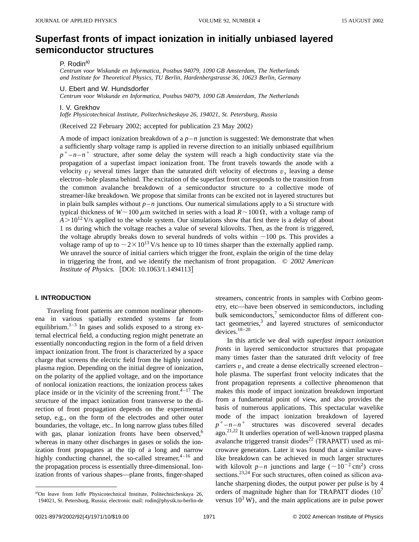# **Superfast fronts of impact ionization in initially unbiased layered semiconductor structures**

P. Rodin<sup>a)</sup>

*Centrum voor Wiskunde en Informatica, Postbus 94079, 1090 GB Amsterdam, The Netherlands and Institute for Theoretical Physics, TU Berlin, Hardenbergstrasse 36, 10623 Berlin, Germany*

U. Ebert and W. Hundsdorfer

*Centrum voor Wiskunde en Informatica, Postbus 94079, 1090 GB Amsterdam, The Netherlands*

I. V. Grekhov

*Ioffe Physicotechnical Institute, Politechnicheskaya 26, 194021, St. Petersburg, Russia*

(Received 22 February 2002; accepted for publication 23 May 2002)

A mode of impact ionization breakdown of a  $p - n$  junction is suggested: We demonstrate that when a sufficiently sharp voltage ramp is applied in reverse direction to an initially unbiased equilibrium  $p^+$ – $n - n^+$  structure, after some delay the system will reach a high conductivity state via the propagation of a superfast impact ionization front. The front travels towards the anode with a velocity  $v_f$  several times larger than the saturated drift velocity of electrons  $v_s$  leaving a dense electron–hole plasma behind. The excitation of the superfast front corresponds to the transition from the common avalanche breakdown of a semiconductor structure to a collective mode of streamer-like breakdown. We propose that similar fronts can be excited not in layered structures but in plain bulk samples without  $p - n$  junctions. Our numerical simulations apply to a Si structure with typical thickness of  $W \sim 100 \mu$ m switched in series with a load  $R \sim 100 \Omega$ , with a voltage ramp of  $A > 10^{12}$  V/s applied to the whole system. Our simulations show that first there is a delay of about 1 ns during which the voltage reaches a value of several kilovolts. Then, as the front is triggered, the voltage abruptly breaks down to several hundreds of volts within  $\sim$ 100 ps. This provides a voltage ramp of up to  $\sim$  2 $\times$  10<sup>13</sup> V/s hence up to 10 times sharper than the externally applied ramp. We unravel the source of initial carriers which trigger the front, explain the origin of the time delay in triggering the front, and we identify the mechanism of front propagation. © *2002 American Institute of Physics.* [DOI: 10.1063/1.1494113]

## **I. INTRODUCTION**

Traveling front patterns are common nonlinear phenomena in various spatially extended systems far from equilibrium. $1-3$  In gases and solids exposed to a strong external electrical field, a conducting region might penetrate an essentially nonconducting region in the form of a field driven impact ionization front. The front is characterized by a space charge that screens the electric field from the highly ionized plasma region. Depending on the initial degree of ionization, on the polarity of the applied voltage, and on the importance of nonlocal ionization reactions, the ionization process takes place inside or in the vicinity of the screening front. $4-17$  The structure of the impact ionization front transverse to the direction of front propagation depends on the experimental setup, e.g., on the form of the electrodes and other outer boundaries, the voltage, etc.. In long narrow glass tubes filled with gas, planar ionization fronts have been observed, $6$ whereas in many other discharges in gases or solids the ionization front propagates at the tip of a long and narrow highly conducting channel, the so-called streamer, <sup>4-16</sup> and the propagation process is essentially three-dimensional. Ionization fronts of various shapes—plane fronts, finger-shaped streamers, concentric fronts in samples with Corbino geometry, etc—have been observed in semiconductors, including bulk semiconductors,<sup>7</sup> semiconductor films of different contact geometries,<sup>3</sup> and layered structures of semiconductor devices.18–20

In this article we deal with *superfast impact ionization fronts* in layered semiconductor structures that propagate many times faster than the saturated drift velocity of free carriers  $v_s$  and create a dense electrically screened electron– hole plasma. The superfast front velocity indicates that the front propagation represents a collective phenomenon that makes this mode of impact ionization breakdown important from a fundamental point of view, and also provides the basis of numerous applications. This spectacular wavelike mode of the impact ionization breakdown of layered  $p^+$  – *n* – *n*<sup>+</sup> structures was discovered several decades ago.21,22 It underlies operation of well-known trapped plasma avalanche triggered transit diodes<sup>22</sup> (TRAPATT) used as microwave generators. Later it was found that a similar wavelike breakdown can be achieved in much larger structures with kilovolt  $p-n$  junctions and large ( $\sim 10^{-2}$  cm<sup>2</sup>) cross sections.<sup>23,24</sup> For such structures, often coined as silicon avalanche sharpening diodes, the output power per pulse is by 4 orders of magnitude higher than for TRAPATT diodes  $(10<sup>7</sup>$ versus  $10^3$  W), and the main applications are in pulse power

a)On leave from Ioffe Physicotechnical Institute, Politechnicheskaya 26, 194021, St. Petersburg, Russia; electronic mail: rodin@physik.tu-berlin-de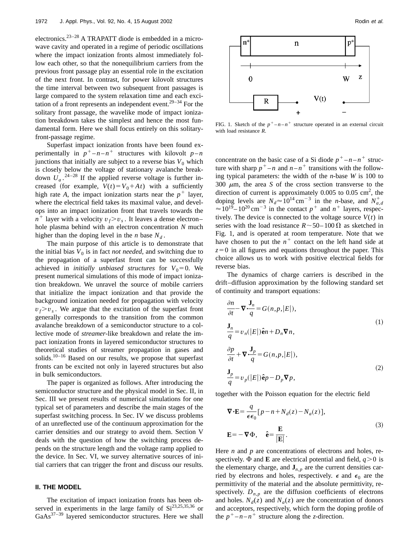electronics.<sup>23–28</sup> A TRAPATT diode is embedded in a microwave cavity and operated in a regime of periodic oscillations where the impact ionization fronts almost immediately follow each other, so that the nonequilibrium carriers from the previous front passage play an essential role in the excitation of the next front. In contrast, for power kilovolt structures the time interval between two subsequent front passages is large compared to the system relaxation time and each excitation of a front represents an independent event.<sup>29–34</sup> For the solitary front passage, the wavelike mode of impact ionization breakdown takes the simplest and hence the most fundamental form. Here we shall focus entirely on this solitaryfront-passage regime.

Superfast impact ionization fronts have been found experimentally in  $p^+ - n - n^+$  structures with kilovolt  $p - n$ junctions that initially are subject to a reverse bias  $V_0$  which is closely below the voltage of stationary avalanche breakdown  $U_a$ <sup>24-28</sup> If the applied reverse voltage is further increased (for example,  $V(t) = V_0 + At$ ) with a sufficiently high rate *A*, the impact ionization starts near the  $p^+$  layer, where the electrical field takes its maximal value, and develops into an impact ionization front that travels towards the  $n^{\frac{1}{n}}$  layer with a velocity  $v_f > v_s$ . It leaves a dense electron– hole plasma behind with an electron concentration *N* much higher than the doping level in the *n* base  $N_d$ .

The main purpose of this article is to demonstrate that the initial bias  $V_0$  is in fact *not needed*, and switching due to the propagation of a superfast front can be successfully achieved in *initially unbiased structures* for  $V_0 = 0$ . We present numerical simulations of this mode of impact ionization breakdown. We unravel the source of mobile carriers that initialize the impact ionization and that provide the background ionization needed for propagation with velocity  $v_f > v_s$ . We argue that the excitation of the superfast front generally corresponds to the transition from the common avalanche breakdown of a semiconductor structure to a collective mode of *streamer*-like breakdown and relate the impact ionization fronts in layered semiconductor structures to theoretical studies of streamer propagation in gases and solids.<sup>10–16</sup> Based on our results, we propose that superfast fronts can be excited not only in layered structures but also in bulk semiconductors.

The paper is organized as follows. After introducing the semiconductor structure and the physical model in Sec. II, in Sec. III we present results of numerical simulations for one typical set of parameters and describe the main stages of the superfast switching process. In Sec. IV we discuss problems of an unreflected use of the continuum approximation for the carrier densities and our strategy to avoid them. Section V deals with the question of how the switching process depends on the structure length and the voltage ramp applied to the device. In Sec. VI, we survey alternative sources of initial carriers that can trigger the front and discuss our results.

## **II. THE MODEL**

The excitation of impact ionization fronts has been observed in experiments in the large family of  $Si^{23,25,35,36}$  or  $GaAs<sup>37-39</sup>$  layered semiconductor structures. Here we shall



FIG. 1. Sketch of the  $p^+$ – $n - n^+$  structure operated in an external circuit with load resistance *R*.

concentrate on the basic case of a Si diode  $p^+$  –  $n - n^+$  structure with sharp  $p^+$  – *n* and  $n - n^+$  transitions with the following typical parameters: the width of the *n*-base *W* is 100 to 300  $\mu$ m, the area *S* of the cross section transverse to the direction of current is approximately  $0.005$  to  $0.05$  cm<sup>2</sup>, the doping levels are  $N_d \approx 10^{14} \text{ cm}^{-3}$  in the *n*-base, and  $N_{a,d}^+$  $\approx 10^{19} - 10^{20}$  cm<sup>-3</sup> in the contact  $p^+$  and  $n^+$  layers, respectively. The device is connected to the voltage source  $V(t)$  in series with the load resistance  $R \sim 50-100 \Omega$  as sketched in Fig. 1, and is operated at room temperature. Note that we have chosen to put the  $n^+$  contact on the left hand side at  $z=0$  in all figures and equations throughout the paper. This choice allows us to work with positive electrical fields for reverse bias.

The dynamics of charge carriers is described in the drift–diffusion approximation by the following standard set of continuity and transport equations:

$$
\frac{\partial n}{\partial t} - \nabla \cdot \frac{\mathbf{J}_n}{q} = G(n, p, |E|),
$$
\n
$$
\frac{\mathbf{J}_n}{q} = v_n(|E|)\hat{\mathbf{e}}n + D_n \nabla n,
$$
\n
$$
\frac{\partial p}{\partial t} + \nabla \cdot \frac{\mathbf{J}_p}{q} = G(n, p, |E|),
$$
\n
$$
\frac{\mathbf{J}_p}{q} = v_p(|E|)\hat{\mathbf{e}}p - D_p \nabla p,
$$
\n(2)

together with the Poisson equation for the electric field

$$
\nabla \cdot \mathbf{E} = \frac{q}{\epsilon \epsilon_0} [p - n + N_d(z) - N_a(z)],
$$
  

$$
\mathbf{E} = -\nabla \Phi, \quad \hat{\mathbf{e}} = \frac{\mathbf{E}}{|\mathbf{E}|}.
$$
 (3)

Here *n* and *p* are concentrations of electrons and holes, respectively.  $\Phi$  and **E** are electrical potential and field,  $q>0$  is the elementary charge, and  $\mathbf{J}_{n,p}$  are the current densities carried by electrons and holes, respectively.  $\epsilon$  and  $\epsilon_0$  are the permittivity of the material and the absolute permittivity, respectively.  $D_{n,p}$  are the diffusion coefficients of electrons and holes.  $N_d(z)$  and  $N_a(z)$  are the concentration of donors and acceptors, respectively, which form the doping profile of the  $p^+$ – $n - n^+$  structure along the *z*-direction.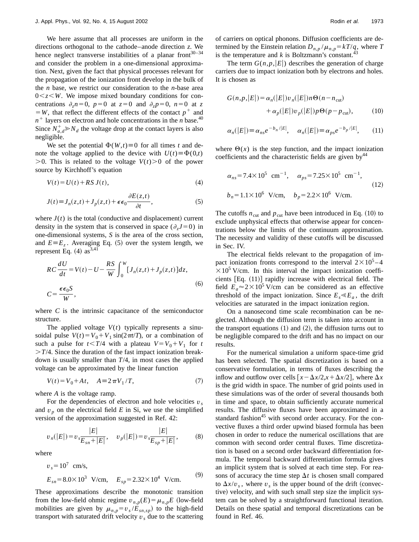We here assume that all processes are uniform in the directions orthogonal to the cathode–anode direction *z*. We hence neglect transverse instabilities of a planar front<sup>30–34</sup> and consider the problem in a one-dimensional approximation. Next, given the fact that physical processes relevant for the propagation of the ionization front develop in the bulk of the *n* base, we restrict our consideration to the *n*-base area  $0 \lt z \lt W$ . We impose mixed boundary conditions for concentrations  $\partial_z n = 0$ ,  $p = 0$  at  $z = 0$  and  $\partial_z p = 0$ ,  $n = 0$  at z  $=$  *W*, that reflect the different effects of the contact  $p$ <sup>+</sup> and  $n^+$  layers on electron and hole concentrations in the *n* base.<sup>40</sup> Since  $N_{a,d}^+ \ge N_d$  the voltage drop at the contact layers is also negligible.

We set the potential  $\Phi(W,t) \equiv 0$  for all times *t* and denote the voltage applied to the device with  $U(t) \equiv \Phi(0,t)$  $>0$ . This is related to the voltage  $V(t) > 0$  of the power source by Kirchhoff's equation

$$
V(t) = U(t) + RS J(t),
$$
\n<sup>(4)</sup>

$$
J(t) \equiv J_n(z,t) + J_p(z,t) + \epsilon \epsilon_0 \frac{\partial E(z,t)}{\partial t}, \qquad (5)
$$

where  $J(t)$  is the total (conductive and displacement) current density in the system that is conserved in space  $(\partial_z J = 0)$  in one-dimensional systems, *S* is the area of the cross section, and  $E = E_z$ . Averaging Eq. (5) over the system length, we represent Eq.  $(4)$  as<sup>3,41</sup>

$$
RC\frac{dU}{dt} = V(t) - U - \frac{RS}{W} \int_0^W [J_n(z,t) + J_p(z,t)]dz,
$$
  
\n
$$
C = \frac{\epsilon \epsilon_0 S}{W},
$$
\n(6)

where *C* is the intrinsic capacitance of the semiconductor structure.

The applied voltage  $V(t)$  typically represents a sinusoidal pulse  $V(t) = V_0 + V_1 \sin(2\pi t/T)$ , or a combination of such a pulse for  $t < T/4$  with a plateau  $V = V_0 + V_1$  for *t*  $\geq$  *T*/4. Since the duration of the fast impact ionization breakdown is usually smaller than *T*/4, in most cases the applied voltage can be approximated by the linear function

$$
V(t) = V_0 + At, \quad A = 2\pi V_1/T,
$$
 (7)

where *A* is the voltage ramp.

For the dependencies of electron and hole velocities  $v<sub>s</sub>$ and  $v_p$  on the electrical field  $E$  in Si, we use the simplified version of the approximation suggested in Ref. 42:

$$
v_n(|E|) = v_s \frac{|E|}{E_{sn} + |E|}, \quad v_p(|E|) = v_s \frac{|E|}{E_{sp} + |E|}, \tag{8}
$$

where

$$
v_s = 10^7
$$
 cm/s,  
\n $E_{sn} = 8.0 \times 10^3$  V/cm,  $E_{sp} = 2.32 \times 10^4$  V/cm. (9)

These approximations describe the monotonic transition from the low-field ohmic regime  $v_{n,p}(E) = \mu_{n,p}E$  (low-field mobilities are given by  $\mu_{n,p} = v_s / E_{sn,sp}$  to the high-field transport with saturated drift velocity  $v<sub>s</sub>$  due to the scattering of carriers on optical phonons. Diffusion coefficients are determined by the Einstein relation  $D_{n,p}/\mu_{n,p} = kT/q$ , where *T* is the temperature and  $k$  is Boltzmann's constant.<sup>4</sup>

The term  $G(n, p, |E|)$  describes the generation of charge carriers due to impact ionization both by electrons and holes. It is chosen as

$$
G(n,p,|E|) = \alpha_n(|E|)v_n(|E|)n\Theta(n-n_{\text{cut}})
$$
  
+  $\alpha_p(|E|)v_p(|E|)p\Theta(p-p_{\text{cut}}),$  (10)

$$
\alpha_n(|E|) \equiv \alpha_{ns} e^{-b_n/|E|}, \quad \alpha_n(|E|) \equiv \alpha_{ps} e^{-b_p/|E|}, \qquad (11)
$$

where  $\Theta(x)$  is the step function, and the impact ionization coefficients and the characteristic fields are given by  $44$ 

$$
\alpha_{ns} = 7.4 \times 10^5 \text{ cm}^{-1}, \quad \alpha_{ps} = 7.25 \times 10^5 \text{ cm}^{-1},
$$
  
\n $b_n = 1.1 \times 10^6 \text{ V/cm}, \quad b_p = 2.2 \times 10^6 \text{ V/cm}.$  (12)

The cutoffs  $n_{\text{cut}}$  and  $p_{\text{cut}}$  have been introduced in Eq. (10) to exclude unphysical effects that otherwise appear for concentrations below the limits of the continuum approximation. The necessity and validity of these cutoffs will be discussed in Sec. IV.

The electrical fields relevant to the propagation of impact ionization fronts correspond to the interval  $2 \times 10^5 - 4$  $\times$ 10<sup>5</sup> V/cm. In this interval the impact ionization coefficients  $[Eq. (11)]$  rapidly increase with electrical field. The field  $E_a \approx 2 \times 10^5$  V/cm can be considered as an effective threshold of the impact ionization. Since  $E_s \ll E_a$ , the drift velocities are saturated in the impact ionization region.

On a nanosecond time scale recombination can be neglected. Although the diffusion term is taken into account in the transport equations  $(1)$  and  $(2)$ , the diffusion turns out to be negligible compared to the drift and has no impact on our results.

For the numerical simulation a uniform space-time grid has been selected. The spatial discretization is based on a conservative formulation, in terms of fluxes describing the inflow and outflow over cells  $[x - \Delta x/2, x + \Delta x/2]$ , where  $\Delta x$ is the grid width in space. The number of grid points used in these simulations was of the order of several thousands both in time and space, to obtain sufficiently accurate numerical results. The diffusive fluxes have been approximated in a standard fashion<sup>45</sup> with second order accuracy. For the convective fluxes a third order upwind biased formula has been chosen in order to reduce the numerical oscillations that are common with second order central fluxes. Time discretization is based on a second order backward differentiation formula. The temporal backward differentiation formula gives an implicit system that is solved at each time step. For reasons of accuracy the time step  $\Delta t$  is chosen small compared to  $\Delta x/v_s$ , where  $v_s$  is the upper bound of the drift (convective) velocity, and with such small step size the implicit system can be solved by a straightforward functional iteration. Details on these spatial and temporal discretizations can be found in Ref. 46.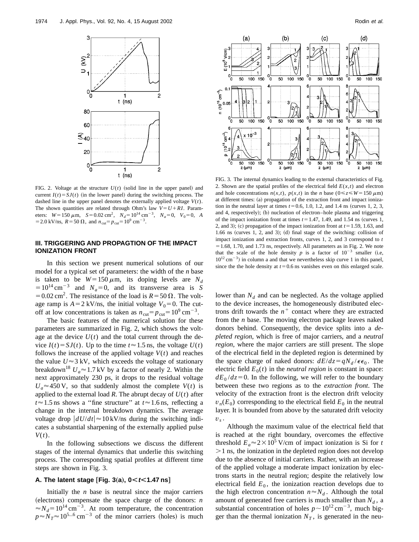

FIG. 2. Voltage at the structure  $U(t)$  (solid line in the upper panel) and current  $I(t) = SJ(t)$  (in the lower panel) during the switching process. The dashed line in the upper panel denotes the externally applied voltage  $V(t)$ . The shown quantities are related through Ohm's law  $V = U + RI$ . Parameters:  $W=150 \mu \text{m}$ ,  $S=0.02 \text{ cm}^2$ ,  $N_d=10^{14} \text{ cm}^{-3}$ ,  $N_a=0$ ,  $V_0=0$ , *A* = 2.0 kV/ns,  $R = 50 \Omega$ , and  $n_{\text{cut}} = p_{\text{cut}} = 10^9 \text{ cm}^{-3}$ .

## **III. TRIGGERING AND PROPAGTION OF THE IMPACT IONIZATION FRONT**

In this section we present numerical solutions of our model for a typical set of parameters: the width of the *n* base is taken to be  $W=150 \mu \text{m}$ , its doping levels are  $N_d$  $=10^{14}$  cm<sup>-3</sup> and *N<sub>a</sub>*=0, and its transverse area is *S*  $=0.02$  cm<sup>2</sup>. The resistance of the load is  $R = 50 \Omega$ . The voltage ramp is  $A = 2$  kV/ns, the initial voltage  $V_0 = 0$ . The cutoff at low concentrations is taken as  $n_{\text{cut}} = p_{\text{cut}} = 10^9 \text{ cm}^{-3}$ .

The basic features of the numerical solution for these parameters are summarized in Fig. 2, which shows the voltage at the device  $U(t)$  and the total current through the device  $I(t) = SJ(t)$ . Up to the time  $t \approx 1.5$  ns, the voltage  $U(t)$ follows the increase of the applied voltage  $V(t)$  and reaches the value  $U \approx 3$  kV, which exceeds the voltage of stationary breakdown<sup>18</sup>  $U_a \approx 1.7$  kV by a factor of nearly 2. Within the next approximately 230 ps, it drops to the residual voltage  $U_a \approx 450 \text{ V}$ , so that suddenly almost the complete  $V(t)$  is applied to the external load  $R$ . The abrupt decay of  $U(t)$  after  $t \approx 1.5$  ns shows a "fine structure" at  $t \approx 1.6$  ns, reflecting a change in the internal breakdown dynamics. The average voltage drop  $|dU/dt| \approx 10 \text{ kV/s}$  during the switching indicates a substantial sharpening of the externally applied pulse *V*(*t*).

In the following subsections we discuss the different stages of the internal dynamics that underlie this switching process. The corresponding spatial profiles at different time steps are shown in Fig. 3.

## **A.** The latent stage  $[Fig. 3(a), 0 < t < 1.47$  ns

Initially the  $n$  base is neutral since the major carriers  $(electrons)$  compensate the space charge of the donors:  $n$  $\approx N_d = 10^{14}$  cm<sup>-3</sup>. At room temperature, the concentration  $p \approx N_T \approx 10^{5\dots6}$  cm<sup>-3</sup> of the minor carriers (holes) is much



FIG. 3. The internal dynamics leading to the external characteristics of Fig. 2. Shown are the spatial profiles of the electrical field  $E(x,t)$  and electron and hole concentrations  $n(x,t)$ ,  $p(x,t)$  in the *n* base ( $0 \le z \le W = 150 \ \mu \text{m}$ ) at different times: (a) propagation of the extraction front and impact ionization in the neutral layer at times  $t=0.6, 1.0, 1.2,$  and 1.4 ns (curves 1, 2, 3, and 4, respectively); (b) nucleation of electron–hole plasma and triggering of the impact ionization front at times  $t=1.47$ , 1.49, and 1.54 ns (curves 1, 2, and 3); (c) propagation of the impact ionization front at  $t=1.59$ , 1.63, and 1.66 ns (curves 1, 2, and 3); (d) final stage of the switching: collision of impact ionization and extraction fronts, curves 1, 2, and 3 correspond to *t*  $=1.68$ , 1.70, and 1.73 ns, respectively. All parameters as in Fig. 2. We note that the scale of the hole density *p* is a factor of  $10^{-3}$  smaller (i.e,  $10^{12}$  cm<sup>-3</sup>) in column a and that we nevertheless skip curve 1 in this panel, since the the hole density at  $t=0.6$  ns vanishes even on this enlarged scale.

lower than  $N_d$  and can be neglected. As the voltage applied to the device increases, the homogeneously distributed electrons drift towards the  $n^+$  contact where they are extracted from the *n* base. The moving electron package leaves naked donors behind. Consequently, the device splits into a *depleted region*, which is free of major carriers, and a *neutral region*, where the major carriers are still present. The slope of the electrical field in the depleted region is determined by the space charge of naked donors:  $dE/dz = qN_d/\epsilon\epsilon_0$ . The electric field  $E_0(t)$  in the *neutral region* is constant in space:  $dE_0/dz$ =0. In the following, we will refer to the boundary between these two regions as to the *extraction front*. The velocity of the extraction front is the electron drift velocity  $v_n(E_0)$  corresponding to the electrical field  $E_0$  in the neutral layer. It is bounded from above by the saturated drift velocity v*s* .

Although the maximum value of the electrical field that is reached at the right boundary, overcomes the effective threshold  $E_a \approx 2 \times 10^5$  V/cm of impact ionization is Si for *t*  $>1$  ns, the ionization in the depleted region does not develop due to the absence of initial carriers. Rather, with an increase of the applied voltage a moderate impact ionization by electrons starts in the neutral region; despite the relatively low electrical field  $E_0$ , the ionization reaction develops due to the high electron concentration  $n \approx N_d$ . Although the total amount of generated free carriers is much smaller than  $N_d$ , a substantial concentration of holes  $p \sim 10^{12}$  cm<sup>-3</sup>, much bigger than the thermal ionization  $N_T$ , is generated in the neu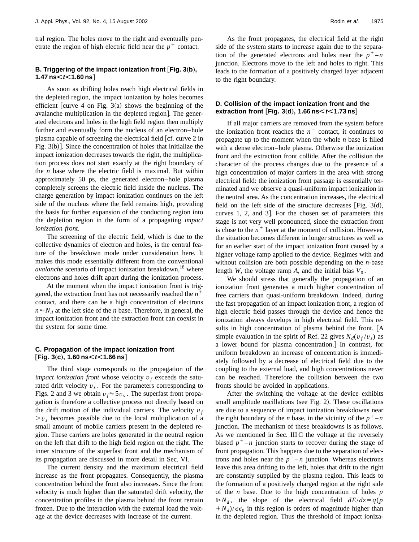tral region. The holes move to the right and eventually penetrate the region of high electric field near the  $p^+$  contact.

# **B. Triggering of the impact ionization front** †**Fig. 3**"**b**…**, 1.47**  $ns < t < 1.60$   $ns$

As soon as drifting holes reach high electrical fields in the depleted region, the impact ionization by holes becomes efficient [curve 4 on Fig. 3(a) shows the beginning of the avalanche multiplication in the depleted region. The generated electrons and holes in the high field region then multiply further and eventually form the nucleus of an electron–hole plasma capable of screening the electrical field  $[cf.$  curve 2 in Fig.  $3(b)$ ]. Since the concentration of holes that initialize the impact ionization decreases towards the right, the multiplication process does not start exactly at the right boundary of the *n* base where the electric field is maximal. But within approximately 50 ps, the generated electron–hole plasma completely screens the electric field inside the nucleus. The charge generation by impact ionization continues on the left side of the nucleus where the field remains high, providing the basis for further expansion of the conducting region into the depletion region in the form of a propagating *impact ionization front*.

The screening of the electric field, which is due to the collective dynamics of electron and holes, is the central feature of the breakdown mode under consideration here. It makes this mode essentially different from the conventional *avalanche* scenario of impact ionization breakdown,<sup>18</sup> where electrons and holes drift apart during the ionization process.

At the moment when the impact ionization front is triggered, the extraction front has not necessarily reached the *n* 1 contact, and there can be a high concentration of electrons  $n \approx N_d$  at the left side of the *n* base. Therefore, in general, the impact ionization front and the extraction front can coexist in the system for some time.

# **C. Propagation of the impact ionization front**  $[Fig. 3(c), 1.60$   $ns < t < 1.66$   $ns]$

The third stage corresponds to the propagation of the *impact ionization front* whose velocity  $v_f$  exceeds the saturated drift velocity  $v_s$ . For the parameters corresponding to Figs. 2 and 3 we obtain  $v_f \approx 5v_s$ . The superfast front propagation is therefore a collective process not directly based on the drift motion of the individual carriers. The velocity  $v_f$  $>v<sub>s</sub>$  becomes possible due to the local multiplication of a small amount of mobile carriers present in the depleted region. These carriers are holes generated in the neutral region on the left that drift to the high field region on the right. The inner structure of the superfast front and the mechanism of its propagation are discussed in more detail in Sec. VI.

The current density and the maximum electrical field increase as the front propagates. Consequently, the plasma concentration behind the front also increases. Since the front velocity is much higher than the saturated drift velocity, the concentration profiles in the plasma behind the front remain frozen. Due to the interaction with the external load the voltage at the device decreases with increase of the current.

As the front propagates, the electrical field at the right side of the system starts to increase again due to the separation of the generated electrons and holes near the  $p^+$  – *n* junction. Electrons move to the left and holes to right. This leads to the formation of a positively charged layer adjacent to the right boundary.

# **D. Collision of the impact ionization front and the extraction front** [Fig. 3(d),  $1.66$  ns $\leq t \leq 1.73$  ns]

If all major carriers are removed from the system before the ionization front reaches the  $n^+$  contact, it continues to propagate up to the moment when the whole *n* base is filled with a dense electron–hole plasma. Otherwise the ionization front and the extraction front collide. After the collision the character of the process changes due to the presence of a high concentration of major carriers in the area with strong electrical field: the ionization front passage is essentially terminated and we observe a quasi-uniform impact ionization in the neutral area. As the concentration increases, the electrical field on the left side of the structure decreases [Fig.  $3(d)$ , curves 1, 2, and 3. For the chosen set of parameters this stage is not very well pronounced, since the extraction front is close to the  $n^+$  layer at the moment of collision. However, the situation becomes different in longer structures as well as for an earlier start of the impact ionization front caused by a higher voltage ramp applied to the device. Regimes with and without collision are both possible depending on the *n*-base length *W*, the voltage ramp *A*, and the initial bias  $V_0$ .

We should stress that generally the propagation of an ionization front generates a much higher concentration of free carriers than quasi-uniform breakdown. Indeed, during the fast propagation of an impact ionization front, a region of high electric field passes through the device and hence the ionization always develops in high electrical field. This results in high concentration of plasma behind the front.  $|A$ simple evaluation in the spirit of Ref. 22 gives  $N_d(v_f/v_s)$  as a lower bound for plasma concentration. In contrast, for uniform breakdown an increase of concentration is immediately followed by a decrease of electrical field due to the coupling to the external load, and high concentrations never can be reached. Therefore the collision between the two fronts should be avoided in applications.

After the switching the voltage at the device exhibits small amplitude oscillations (see Fig. 2). These oscillations are due to a sequence of impact ionization breakdowns near the right boundary of the *n* base, in the vicinity of the  $p^+$ –*n* junction. The mechanism of these breakdowns is as follows. As we mentioned in Sec. III C the voltage at the reversely biased  $p^+$ –*n* junction starts to recover during the stage of front propagation. This happens due to the separation of electrons and holes near the  $p^+$  – *n* junction. Whereas electrons leave this area drifting to the left, holes that drift to the right are constantly supplied by the plasma region. This leads to the formation of a positively charged region at the right side of the *n* base. Due to the high concentration of holes *p*  $\gg N_d$ , the slope of the electrical field  $dE/dz = q(p)$  $+N_d$ )/ $\epsilon \epsilon_0$  in this region is orders of magnitude higher than in the depleted region. Thus the threshold of impact ioniza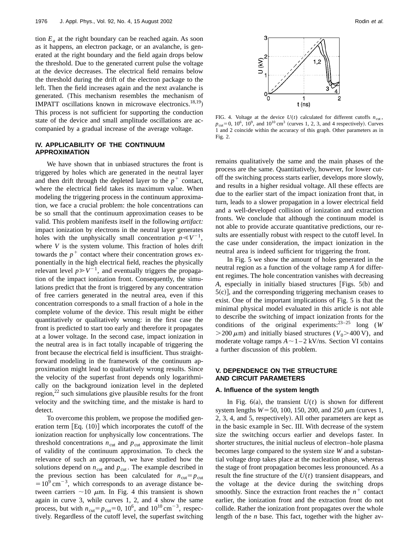tion  $E_a$  at the right boundary can be reached again. As soon as it happens, an electron package, or an avalanche, is generated at the right boundary and the field again drops below the threshold. Due to the generated current pulse the voltage at the device decreases. The electrical field remains below the threshold during the drift of the electron package to the left. Then the field increases again and the next avalanche is generated. (This mechanism resembles the mechanism of IMPATT oscillations known in microwave electronics.<sup>18,19</sup>) This process is not sufficient for supporting the conduction state of the device and small amplitude oscillations are accompanied by a gradual increase of the average voltage.

# **IV. APPLICABILITY OF THE CONTINUUM APPROXIMATION**

We have shown that in unbiased structures the front is triggered by holes which are generated in the neutral layer and then drift through the depleted layer to the  $p^+$  contact, where the electrical field takes its maximum value. When modeling the triggering process in the continuum approximation, we face a crucial problem: the hole concentrations can be so small that the continuum approximation ceases to be valid. This problem manifests itself in the following *artifact:* impact ionization by electrons in the neutral layer generates holes with the unphysically small concentration  $p \ll V^{-1}$ , where *V* is the system volume. This fraction of holes drift towards the  $p^+$  contact where their concentration grows exponentially in the high electrical field, reaches the physically relevant level  $p \geqslant V^{-1}$ , and eventually triggers the propagation of the impact ionization front. Consequently, the simulations predict that the front is triggered by any concentration of free carriers generated in the neutral area, even if this concentration corresponds to a small fraction of a hole in the complete volume of the device. This result might be either quantitatively or qualitatively wrong: in the first case the front is predicted to start too early and therefore it propagates at a lower voltage. In the second case, impact ionization in the neutral area is in fact totally incapable of triggering the front because the electrical field is insufficient. Thus straightforward modeling in the framework of the continuum approximation might lead to qualitatively wrong results. Since the velocity of the superfast front depends only logarithmically on the background ionization level in the depleted region, $^{22}$  such simulations give plausible results for the front velocity and the switching time, and the mistake is hard to detect.

To overcome this problem, we propose the modified generation term  $[Eq. (10)]$  which incorporates the cutoff of the ionization reaction for unphysically low concentrations. The threshold concentrations  $n_{\text{cut}}$  and  $p_{\text{cut}}$  approximate the limit of validity of the continuum approximation. To check the relevance of such an approach, we have studied how the solutions depend on  $n_{\text{cut}}$  and  $p_{\text{cut}}$ . The example described in the previous section has been calculated for  $n_{\text{cut}}=p_{\text{cut}}$  $=10<sup>9</sup>$  cm<sup>-3</sup>, which corresponds to an average distance between carriers  $\sim$ 10  $\mu$ m. In Fig. 4 this transient is shown again in curve 3, while curves 1, 2, and 4 show the same process, but with  $n_{\text{cut}}=p_{\text{cut}}=0$ ,  $10^6$ , and  $10^{10} \text{ cm}^{-3}$ , respectively. Regardless of the cutoff level, the superfast switching



FIG. 4. Voltage at the device  $U(t)$  calculated for different cutoffs  $n_{\text{cut}}$ ,  $p_{\text{cut}}=0, 10^6, 10^9, \text{ and } 10^{10} \text{ cm}^3 \text{ (curves 1, 2, 3, and 4 respectively). Curves}$ 1 and 2 coincide within the accuracy of this graph. Other parameters as in Fig. 2.

remains qualitatively the same and the main phases of the process are the same. Quantitatively, however, for lower cutoff the switching process starts earlier, develops more slowly, and results in a higher residual voltage. All these effects are due to the earlier start of the impact ionization front that, in turn, leads to a slower propagation in a lower electrical field and a well-developed collision of ionization and extraction fronts. We conclude that although the continuum model is not able to provide accurate quantitative predictions, our results are essentially robust with respect to the cutoff level. In the case under consideration, the impact ionization in the neutral area is indeed sufficient for triggering the front.

In Fig. 5 we show the amount of holes generated in the neutral region as a function of the voltage ramp *A* for different regimes. The hole concentration vanishes with decreasing *A*, especially in initially biased structures [Figs. 5(b) and  $5(c)$ , and the corresponding triggering mechanism ceases to exist. One of the important implications of Fig. 5 is that the minimal physical model evaluated in this article is not able to describe the switching of impact ionization fronts for the conditions of the original experiments:  $23-25$  long (*W*  $>$  200  $\mu$ m) and initially biased structures ( $V_0$  $>$  400 V), and moderate voltage ramps  $A \sim 1 - 2$  kV/ns. Section VI contains a further discussion of this problem.

## **V. DEPENDENCE ON THE STRUCTURE AND CIRCUIT PARAMETERS**

#### **A. Influence of the system length**

In Fig.  $6(a)$ , the transient  $U(t)$  is shown for different system lengths  $W = 50$ , 100, 150, 200, and 250  $\mu$ m (curves 1, 2, 3, 4, and 5, respectively). All other parameters are kept as in the basic example in Sec. III. With decrease of the system size the switching occurs earlier and develops faster. In shorter structures, the initial nucleus of electron–hole plasma becomes large compared to the system size *W* and a substantial voltage drop takes place at the nucleation phase, whereas the stage of front propagation becomes less pronounced. As a result the fine structure of the  $U(t)$  transient disappears, and the voltage at the device during the switching drops smoothly. Since the extraction front reaches the  $n^+$  contact earlier, the ionization front and the extraction front do not collide. Rather the ionization front propagates over the whole length of the *n* base. This fact, together with the higher av-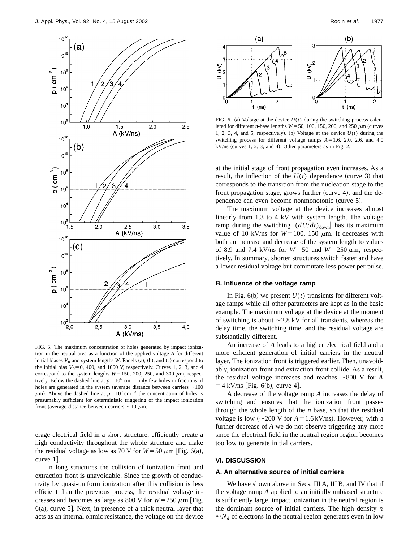

FIG. 5. The maximum concentration of holes generated by impact ionization in the neutral area as a function of the applied voltage *A* for different initial biases  $V_0$  and system lengths *W*. Panels  $(a)$ ,  $(b)$ , and  $(c)$  correspond to the initial bias  $V_0=0$ , 400, and 1000 V, respectively. Curves 1, 2, 3, and 4 correspond to the system lengths  $W=150$ , 200, 250, and 300  $\mu$ m, respectively. Below the dashed line at  $p=10^6$  cm<sup>-3</sup> only few holes or fractions of holes are generated in the system (average distance between carriers  $\sim$ 100  $\mu$ m). Above the dashed line at  $p=10^9$  cm<sup>-3</sup> the concentration of holes is presumably sufficient for deterministic triggering of the impact ionization front (average distance between carriers  $\sim$ 10  $\mu$ m.

erage electrical field in a short structure, efficiently create a high conductivity throughout the whole structure and make the residual voltage as low as 70 V for  $W = 50 \mu m$  [Fig. 6(a), curve 1].

In long structures the collision of ionization front and extraction front is unavoidable. Since the growth of conductivity by quasi-uniform ionization after this collision is less efficient than the previous process, the residual voltage increases and becomes as large as 800 V for  $W = 250 \mu \text{m}$  [Fig.  $6(a)$ , curve 5. Next, in presence of a thick neutral layer that acts as an internal ohmic resistance, the voltage on the device



FIG. 6. (a) Voltage at the device  $U(t)$  during the switching process calculated for different *n*-base lengths  $W=50$ , 100, 150, 200, and 250  $\mu$ m (curves 1, 2, 3, 4, and 5, respectively). (b) Voltage at the device  $U(t)$  during the switching process for different voltage ramps  $A=1.6$ , 2.0, 2.6, and 4.0  $kV/ns$  (curves 1, 2, 3, and 4). Other parameters as in Fig. 2.

at the initial stage of front propagation even increases. As a result, the inflection of the  $U(t)$  dependence (curve 3) that corresponds to the transition from the nucleation stage to the front propagation stage, grows further (curve 4), and the dependence can even become nonmonotonic (curve 5).

The maximum voltage at the device increases almost linearly from 1.3 to 4 kV with system length. The voltage ramp during the switching  $\left| \frac{dU}{dt} \right|_{down}$  has its maximum value of 10 kV/ns for  $W=100$ , 150  $\mu$ m. It decreases with both an increase and decrease of the system length to values of 8.9 and 7.4 kV/ns for  $W=50$  and  $W=250 \mu$ m, respectively. In summary, shorter structures switch faster and have a lower residual voltage but commutate less power per pulse.

#### **B. Influence of the voltage ramp**

In Fig.  $6(b)$  we present  $U(t)$  transients for different voltage ramps while all other parameters are kept as in the basic example. The maximum voltage at the device at the moment of switching is about  $\sim$  2.8 kV for all transients, whereas the delay time, the switching time, and the residual voltage are substantially different.

An increase of *A* leads to a higher electrical field and a more efficient generation of initial carriers in the neutral layer. The ionization front is triggered earlier. Then, unavoidably, ionization front and extraction front collide. As a result, the residual voltage increases and reaches  $\sim 800$  V for *A*  $=$  4 kV/ns | Fig. 6(b), curve 4|.

A decrease of the voltage ramp *A* increases the delay of switching and ensures that the ionization front passes through the whole length of the *n* base, so that the residual voltage is low  $\left(\sim 200 \text{ V for } A=1.6 \text{ kV/ns}\right)$ . However, with a further decrease of *A* we do not observe triggering any more since the electrical field in the neutral region region becomes too low to generate initial carriers.

#### **VI. DISCUSSION**

#### **A. An alternative source of initial carriers**

We have shown above in Secs. III A, III B, and IV that if the voltage ramp *A* applied to an initially unbiased structure is sufficiently large, impact ionization in the neutral region is the dominant source of initial carriers. The high density *n*  $\approx N_d$  of electrons in the neutral region generates even in low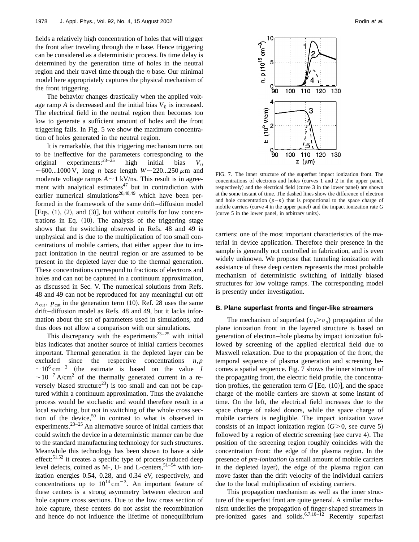fields a relatively high concentration of holes that will trigger the front after traveling through the *n* base. Hence triggering can be considered as a deterministic process. Its time delay is determined by the generation time of holes in the neutral region and their travel time through the *n* base. Our minimal model here appropriately captures the physical mechanism of the front triggering.

The behavior changes drastically when the applied voltage ramp  $A$  is decreased and the initial bias  $V_0$  is increased. The electrical field in the neutral region then becomes too low to generate a sufficient amount of holes and the front triggering fails. In Fig. 5 we show the maximum concentration of holes generated in the neutral region.

It is remarkable, that this triggering mechanism turns out to be ineffective for the parameters corresponding to the original experiments:23–25 high initial bias  $V_0$  $\sim 600...1000 \text{ V}$ , long *n* base length  $W \sim 220...250 \mu \text{m}$  and moderate voltage ramps  $A \sim 1 \text{ kV}$ /ns. This result is in agreement with analytical estimates $47$  but in contradiction with earlier numerical simulations<sup>28,48,49</sup> which have been performed in the framework of the same drift–diffusion model [Eqs.  $(1)$ ,  $(2)$ , and  $(3)$ ], but without cutoffs for low concentrations in Eq.  $(10)$ . The analysis of the triggering stage shows that the switching observed in Refs. 48 and 49 is unphysical and is due to the multiplication of too small concentrations of mobile carriers, that either appear due to impact ionization in the neutral region or are assumed to be present in the depleted layer due to the thermal generation. These concentrations correspond to fractions of electrons and holes and can not be captured in a continuum approximation, as discussed in Sec. V. The numerical solutions from Refs. 48 and 49 can not be reproduced for any meaningful cut off  $n_{\text{cut}}$ ,  $p_{\text{cut}}$  in the generation term (10). Ref. 28 uses the same drift–diffusion model as Refs. 48 and 49, but it lacks information about the set of parameters used in simulations, and thus does not allow a comparison with our simulations.

This discrepancy with the experiments<sup>23–25</sup> with initial bias indicates that another source of initial carriers becomes important. Thermal generation in the depleted layer can be excluded since the respective concentrations *n*,*p*  $\sim$ 10<sup>6</sup> cm<sup>-3</sup> (the estimate is based on the value *J*  $\sim$  10<sup>-7</sup> A/cm<sup>2</sup> of the thermally generated current in a reversely biased structure<sup>23</sup>) is too small and can not be captured within a continuum approximation. Thus the avalanche process would be stochastic and would therefore result in a local switching, but not in switching of the whole cross section of the device,  $50$  in contrast to what is observed in experiments.<sup>23–25</sup> An alternative source of initial carriers that could switch the device in a deterministic manner can be due to the standard manufacturing technology for such structures. Meanwhile this technology has been shown to have a side effect:<sup>51,52</sup> it creates a specific type of process-induced deep level defects, coined as  $M$ -, U- and L-centers,  $51-54$  with ionization energies 0.54, 0.28, and 0.34 eV, respectively, and concentrations up to  $10^{14}$  cm<sup>-3</sup>. An important feature of these centers is a strong asymmetry between electron and hole capture cross sections. Due to the low cross section of hole capture, these centers do not assist the recombination and hence do not influence the lifetime of nonequilibrium



FIG. 7. The inner structure of the superfast impact ionization front. The  $concentrations of electrons and holes (curves 1 and 2 in the upper panel,$ respectively) and the electrical field (curve 3 in the lower panel) are shown at the some instant of time. The dashed lines show the difference of electron and hole concentration  $(p - n)$  that is proportional to the space charge of mobile carriers (curve  $4$  in the upper panel) and the impact ionization rate  $G$  $(curve 5 in the lower panel, in arbitrary units).$ 

carriers: one of the most important characteristics of the material in device application. Therefore their presence in the sample is generally not controlled in fabrication, and is even widely unknown. We propose that tunneling ionization with assistance of these deep centers represents the most probable mechanism of deterministic switching of initially biased structures for low voltage ramps. The corresponding model is presently under investigation.

## **B. Plane superfast fronts and finger-like streamers**

The mechanism of superfast  $(v_f > v_s)$  propagation of the plane ionization front in the layered structure is based on generation of electron–hole plasma by impact ionization followed by screening of the applied electrical field due to Maxwell relaxation. Due to the propagation of the front, the temporal sequence of plasma generation and screening becomes a spatial sequence. Fig. 7 shows the inner structure of the propagating front, the electric field profile, the concentration profiles, the generation term  $G$  [Eq.  $(10)$ ], and the space charge of the mobile carriers are shown at some instant of time. On the left, the electrical field increases due to the space charge of naked donors, while the space charge of mobile carriers is negligible. The impact ionization wave consists of an impact ionization region  $(G>0)$ , see curve 5) followed by a region of electric screening (see curve 4). The position of the screening region roughly coincides with the concentration front: the edge of the plasma region. In the presence of *pre-ionization* (a small amount of mobile carriers in the depleted layer), the edge of the plasma region can move faster than the drift velocity of the individual carriers due to the local multiplication of existing carriers.

This propagation mechanism as well as the inner structure of the superfast front are quite general. A similar mechanism underlies the propagation of finger-shaped streamers in pre-ionized gases and solids.<sup>6,7,10–12</sup> Recently superfast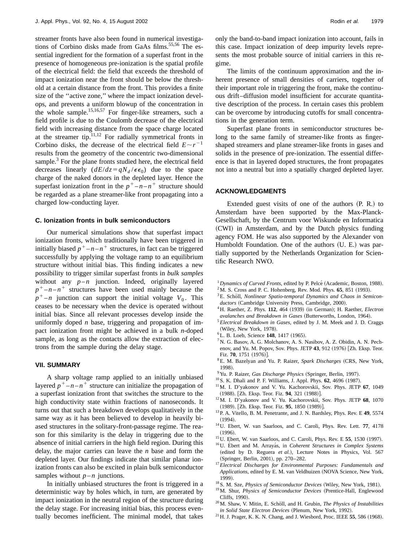streamer fronts have also been found in numerical investigations of Corbino disks made from GaAs films.<sup>55,56</sup> The essential ingredient for the formation of a superfast front in the presence of homogeneous pre-ionization is the spatial profile of the electrical field: the field that exceeds the threshold of impact ionization near the front should be below the threshold at a certain distance from the front. This provides a finite size of the ''active zone,'' where the impact ionization develops, and prevents a uniform blowup of the concentration in the whole sample.15,16,57 For finger-like streamers, such a field profile is due to the Coulomb decrease of the electrical field with increasing distance from the space charge located at the streamer tip. $11,12$  For radially symmetrical fronts in Corbino disks, the decrease of the electrical field  $E \sim r^{-1}$ results from the geometry of the concentric two-dimensional sample.<sup>3</sup> For the plane fronts studied here, the electrical field decreases linearly  $(dE/dz = qN_d/\epsilon\epsilon_0)$  due to the space charge of the naked donors in the depleted layer. Hence the superfast ionization front in the  $p^+$ – $n - n^+$  structure should be regarded as a plane streamer-like front propagating into a charged low-conducting layer.

## **C. Ionization fronts in bulk semiconductors**

Our numerical simulations show that superfast impact ionization fronts, which traditionally have been triggered in initially biased  $p^+$  –  $n - n^+$  structures, in fact can be triggered successfully by applying the voltage ramp to an equilibrium structure without initial bias. This finding indicates a new possibility to trigger similar superfast fronts in *bulk samples* without any  $p - n$  junction. Indeed, originally layered  $p^+$ – $n - n^+$  structures have been used mainly because the  $p^+$ –*n* junction can support the initial voltage  $V_0$ . This ceases to be necessary when the device is operated without initial bias. Since all relevant processes develop inside the uniformly doped *n* base, triggering and propagation of impact ionization front might be achieved in a bulk *n*-doped sample, as long as the contacts allow the extraction of electrons from the sample during the delay stage.

## **VII. SUMMARY**

A sharp voltage ramp applied to an initially unbiased layered  $p^{\dagger} - n - n^{\dagger}$  structure can initialize the propagation of a superfast ionization front that switches the structure to the high conductivity state within fractions of nanoseconds. It turns out that such a breakdown develops qualitatively in the same way as it has been believed to develop in heavily biased structures in the solitary-front-passage regime. The reason for this similarity is the delay in triggering due to the absence of initial carriers in the high field region. During this delay, the major carries can leave the *n* base and form the depleted layer. Our findings indicate that similar planar ionization fronts can also be excited in plain bulk semiconductor samples without  $p - n$  junctions.

In initially unbiased structures the front is triggered in a deterministic way by holes which, in turn, are generated by impact ionization in the neutral region of the structure during the delay stage. For increasing initial bias, this process eventually becomes inefficient. The minimal model, that takes only the band-to-band impact ionization into account, fails in this case. Impact ionization of deep impurity levels represents the most probable source of initial carriers in this regime.

The limits of the continuum approximation and the inherent presence of small densities of carriers, together of their important role in triggering the front, make the continuous drift–diffusion model insufficient for accurate quantitative description of the process. In certain cases this problem can be overcome by introducing cutoffs for small concentrations in the generation term.

Superfast plane fronts in semiconductor structures belong to the same family of streamer-like fronts as fingershaped streamers and plane streamer-like fronts in gases and solids in the presence of pre-ionization. The essential difference is that in layered doped structures, the front propagates not into a neutral but into a spatially charged depleted layer.

## **ACKNOWLEDGMENTS**

Extended guest visits of one of the authors  $(P, R.)$  to Amsterdam have been supported by the Max-Planck-Gesellschaft, by the Centrum voor Wiskunde en Informatica (CWI) in Amsterdam, and by the Dutch physics funding agency FOM. He was also supported by the Alexander von Humboldt Foundation. One of the authors (U. E.) was partially supported by the Netherlands Organization for Scientific Research NWO.

- <sup>1</sup> Dynamics of Curved Fronts, edited by P. Pelce<sup>®</sup> (Academic, Boston, 1988).
- $2^2$ M. S. Cross and P. C. Hohenberg, Rev. Mod. Phys. 65, 851 (1993).
- <sup>3</sup>E. Schöll, *Nonlinear Spatio-temporal Dynamics and Chaos in Semicon*ductors (Cambridge University Press, Cambridge, 2000).
- <sup>4</sup>H. Raether, Z. Phys. 112, 464 (1939) (in German); H. Raether, *Electron*  $a$ valanches and Breakdown in Gases (Butterworths, London, 1964).
- <sup>5</sup>*Electrical Breakdown in Gases*, edited by J. M. Meek and J. D. Craggs (Wiley, New York, 1978).
- <sup>6</sup>L. B. Loeb, Science **148**, 1417 (1965).
- ${}^{7}N$ . G. Basov, A. G. Molchanov, A. S. Nasibov, A. Z. Obidin, A. N. Pechenov, and Yu. M. Popov, Sov. Phys. JETP 43, 912 (1976) [Zh. Eksp. Teor. Fiz. **70**, 1751 (1976)].
- <sup>8</sup>E. M. Bazelyan and Yu. P. Raizer, *Spark Discharges* (CRS, New York, 1998)
- <sup>9</sup>Yu. P. Raizer, *Gas Discharge Physics* (Springer, Berlin, 1997).
- <sup>10</sup> S. K. Dhali and P. F. Williams, J. Appl. Phys. **62**, 4696 (1987).
- <sup>11</sup>M. I. D'yakonov and V. Yu. Kachorovskii, Sov. Phys. JETP **67**, 1049 (1988). [Zh. Eksp. Teor. Fiz. 94, 321 (1988)].
- <sup>12</sup>M. I. D'yakonov and V. Yu. Kachorovskii, Sov. Phys. JETP **68**, 1070 (1989). [Zh. Eksp. Teor. Fiz. 95, 1850 (1989)].
- <sup>13</sup>P. A. Vitello, B. M. Penetrante, and J. N. Bardsley, Phys. Rev. E **49**, 5574  $(1994).$
- <sup>14</sup>U. Ebert, W. van Saarloos, and C. Caroli, Phys. Rev. Lett. **77**, 4178  $(1996).$
- <sup>15</sup>U. Ebert, W. van Saarloos, and C. Caroli, Phys. Rev. E 55, 1530 (1997).
- <sup>16</sup>U. Ebert and M. Arrayas, in *Coherent Structures in Complex Systems* (edited by D. Reguera et al.), Lecture Notes in Physics, Vol. 567 (Springer, Berlin, 2001), pp. 270-282.
- <sup>17</sup>*Electrical Discharges for Environmental Purposes: Fundamentals and Applications*, edited by E. M. van Veldhuizen (NOVA Science, New York, 1999).
- <sup>18</sup>S. M. Sze, *Physics of Semiconductor Devices* (Wiley, New York, 1981).
- <sup>19</sup>M. Shur, *Physics of Semiconductor Devices* (Prentice-Hall, Englewood Cliffs, 1990).
- <sup>20</sup>M. Shaw, V. Mitin, E. Schöll, and H. Grubin, *The Physics of Instabilities in Solid State Electron Devices* (Plenum, New York, 1992).
- $21$  H. J. Prager, K. K. N. Chang, and J. Wiesbord, Proc. IEEE 55, 586 (1968).